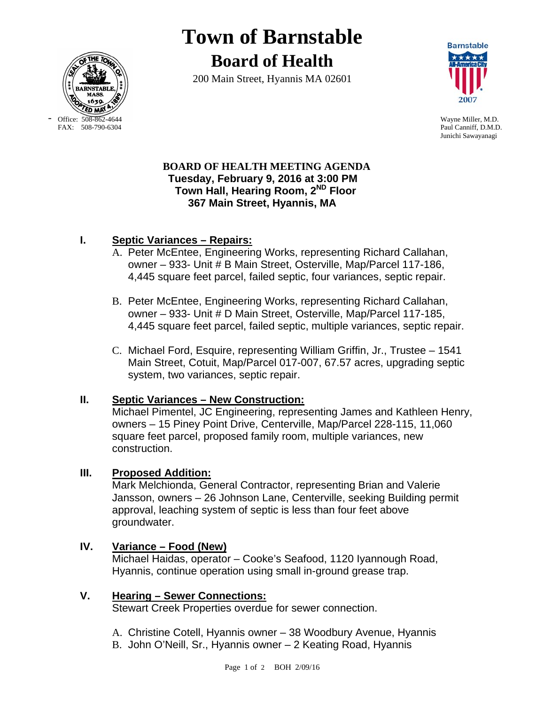

-

# **Town of Barnstable Board of Health**

200 Main Street, Hyannis MA 02601



Office: 508-862-4644 Wayne Miller, M.D.<br>
FAX: 508-790-6304 Paul Canniff. D.M.D Paul Canniff, D.M.D. Junichi Sawayanagi

#### **BOARD OF HEALTH MEETING AGENDA Tuesday, February 9, 2016 at 3:00 PM Town Hall, Hearing Room, 2ND Floor 367 Main Street, Hyannis, MA**

## **I. Septic Variances – Repairs:**

- A. Peter McEntee, Engineering Works, representing Richard Callahan, owner – 933- Unit # B Main Street, Osterville, Map/Parcel 117-186, 4,445 square feet parcel, failed septic, four variances, septic repair.
- B. Peter McEntee, Engineering Works, representing Richard Callahan, owner – 933- Unit # D Main Street, Osterville, Map/Parcel 117-185, 4,445 square feet parcel, failed septic, multiple variances, septic repair.
- C. Michael Ford, Esquire, representing William Griffin, Jr., Trustee 1541 Main Street, Cotuit, Map/Parcel 017-007, 67.57 acres, upgrading septic system, two variances, septic repair.

## **II. Septic Variances – New Construction:**

Michael Pimentel, JC Engineering, representing James and Kathleen Henry, owners – 15 Piney Point Drive, Centerville, Map/Parcel 228-115, 11,060 square feet parcel, proposed family room, multiple variances, new construction.

## **III. Proposed Addition:**

Mark Melchionda, General Contractor, representing Brian and Valerie Jansson, owners – 26 Johnson Lane, Centerville, seeking Building permit approval, leaching system of septic is less than four feet above groundwater.

## **IV. Variance – Food (New)**

Michael Haidas, operator – Cooke's Seafood, 1120 Iyannough Road, Hyannis, continue operation using small in-ground grease trap.

#### **V. Hearing – Sewer Connections:**

Stewart Creek Properties overdue for sewer connection.

- A. Christine Cotell, Hyannis owner 38 Woodbury Avenue, Hyannis
- B. John O'Neill, Sr., Hyannis owner 2 Keating Road, Hyannis